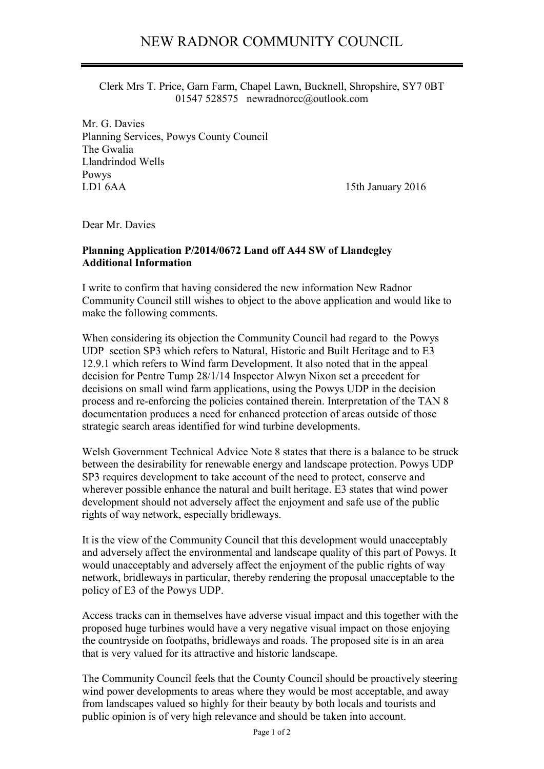Clerk Mrs T. Price, Garn Farm, Chapel Lawn, Bucknell, Shropshire, SY7 0BT 01547 528575 newradnorcc@outlook.com

Mr. G. Davies Planning Services, Powys County Council The Gwalia Llandrindod Wells Powys LD1 6AA 15th January 2016

Dear Mr. Davies

## **Planning Application P/2014/0672 Land off A44 SW of Llandegley Additional Information**

I write to confirm that having considered the new information New Radnor Community Council still wishes to object to the above application and would like to make the following comments.

When considering its objection the Community Council had regard to the Powys UDP section SP3 which refers to Natural, Historic and Built Heritage and to E3 12.9.1 which refers to Wind farm Development. It also noted that in the appeal decision for Pentre Tump 28/1/14 Inspector Alwyn Nixon set a precedent for decisions on small wind farm applications, using the Powys UDP in the decision process and re-enforcing the policies contained therein. Interpretation of the TAN 8 documentation produces a need for enhanced protection of areas outside of those strategic search areas identified for wind turbine developments.

Welsh Government Technical Advice Note 8 states that there is a balance to be struck between the desirability for renewable energy and landscape protection. Powys UDP SP3 requires development to take account of the need to protect, conserve and wherever possible enhance the natural and built heritage. E3 states that wind power development should not adversely affect the enjoyment and safe use of the public rights of way network, especially bridleways.

It is the view of the Community Council that this development would unacceptably and adversely affect the environmental and landscape quality of this part of Powys. It would unacceptably and adversely affect the enjoyment of the public rights of way network, bridleways in particular, thereby rendering the proposal unacceptable to the policy of E3 of the Powys UDP.

Access tracks can in themselves have adverse visual impact and this together with the proposed huge turbines would have a very negative visual impact on those enjoying the countryside on footpaths, bridleways and roads. The proposed site is in an area that is very valued for its attractive and historic landscape.

The Community Council feels that the County Council should be proactively steering wind power developments to areas where they would be most acceptable, and away from landscapes valued so highly for their beauty by both locals and tourists and public opinion is of very high relevance and should be taken into account.